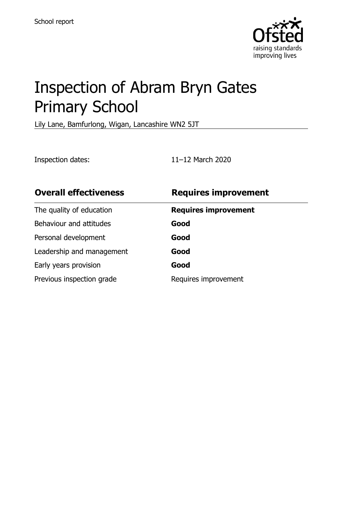

# Inspection of Abram Bryn Gates Primary School

Lily Lane, Bamfurlong, Wigan, Lancashire WN2 5JT

Inspection dates: 11–12 March 2020

| <b>Overall effectiveness</b> | <b>Requires improvement</b> |
|------------------------------|-----------------------------|
| The quality of education     | <b>Requires improvement</b> |
| Behaviour and attitudes      | Good                        |
| Personal development         | Good                        |
| Leadership and management    | Good                        |
| Early years provision        | Good                        |
| Previous inspection grade    | Requires improvement        |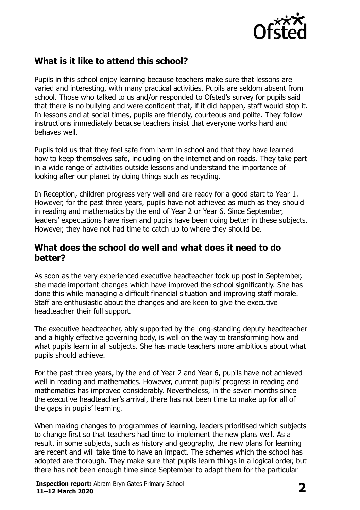

## **What is it like to attend this school?**

Pupils in this school enjoy learning because teachers make sure that lessons are varied and interesting, with many practical activities. Pupils are seldom absent from school. Those who talked to us and/or responded to Ofsted's survey for pupils said that there is no bullying and were confident that, if it did happen, staff would stop it. In lessons and at social times, pupils are friendly, courteous and polite. They follow instructions immediately because teachers insist that everyone works hard and behaves well.

Pupils told us that they feel safe from harm in school and that they have learned how to keep themselves safe, including on the internet and on roads. They take part in a wide range of activities outside lessons and understand the importance of looking after our planet by doing things such as recycling.

In Reception, children progress very well and are ready for a good start to Year 1. However, for the past three years, pupils have not achieved as much as they should in reading and mathematics by the end of Year 2 or Year 6. Since September, leaders' expectations have risen and pupils have been doing better in these subjects. However, they have not had time to catch up to where they should be.

#### **What does the school do well and what does it need to do better?**

As soon as the very experienced executive headteacher took up post in September, she made important changes which have improved the school significantly. She has done this while managing a difficult financial situation and improving staff morale. Staff are enthusiastic about the changes and are keen to give the executive headteacher their full support.

The executive headteacher, ably supported by the long-standing deputy headteacher and a highly effective governing body, is well on the way to transforming how and what pupils learn in all subjects. She has made teachers more ambitious about what pupils should achieve.

For the past three years, by the end of Year 2 and Year 6, pupils have not achieved well in reading and mathematics. However, current pupils' progress in reading and mathematics has improved considerably. Nevertheless, in the seven months since the executive headteacher's arrival, there has not been time to make up for all of the gaps in pupils' learning.

When making changes to programmes of learning, leaders prioritised which subjects to change first so that teachers had time to implement the new plans well. As a result, in some subjects, such as history and geography, the new plans for learning are recent and will take time to have an impact. The schemes which the school has adopted are thorough. They make sure that pupils learn things in a logical order, but there has not been enough time since September to adapt them for the particular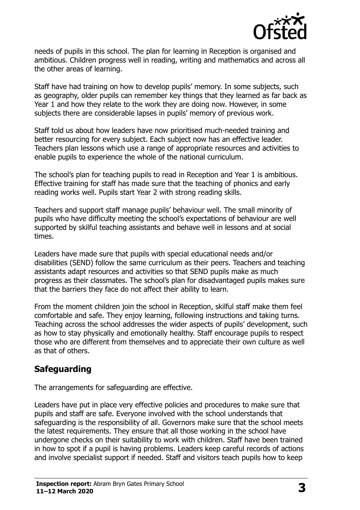

needs of pupils in this school. The plan for learning in Reception is organised and ambitious. Children progress well in reading, writing and mathematics and across all the other areas of learning.

Staff have had training on how to develop pupils' memory. In some subjects, such as geography, older pupils can remember key things that they learned as far back as Year 1 and how they relate to the work they are doing now. However, in some subjects there are considerable lapses in pupils' memory of previous work.

Staff told us about how leaders have now prioritised much-needed training and better resourcing for every subject. Each subject now has an effective leader. Teachers plan lessons which use a range of appropriate resources and activities to enable pupils to experience the whole of the national curriculum.

The school's plan for teaching pupils to read in Reception and Year 1 is ambitious. Effective training for staff has made sure that the teaching of phonics and early reading works well. Pupils start Year 2 with strong reading skills.

Teachers and support staff manage pupils' behaviour well. The small minority of pupils who have difficulty meeting the school's expectations of behaviour are well supported by skilful teaching assistants and behave well in lessons and at social times.

Leaders have made sure that pupils with special educational needs and/or disabilities (SEND) follow the same curriculum as their peers. Teachers and teaching assistants adapt resources and activities so that SEND pupils make as much progress as their classmates. The school's plan for disadvantaged pupils makes sure that the barriers they face do not affect their ability to learn.

From the moment children join the school in Reception, skilful staff make them feel comfortable and safe. They enjoy learning, following instructions and taking turns. Teaching across the school addresses the wider aspects of pupils' development, such as how to stay physically and emotionally healthy. Staff encourage pupils to respect those who are different from themselves and to appreciate their own culture as well as that of others.

## **Safeguarding**

The arrangements for safeguarding are effective.

Leaders have put in place very effective policies and procedures to make sure that pupils and staff are safe. Everyone involved with the school understands that safeguarding is the responsibility of all. Governors make sure that the school meets the latest requirements. They ensure that all those working in the school have undergone checks on their suitability to work with children. Staff have been trained in how to spot if a pupil is having problems. Leaders keep careful records of actions and involve specialist support if needed. Staff and visitors teach pupils how to keep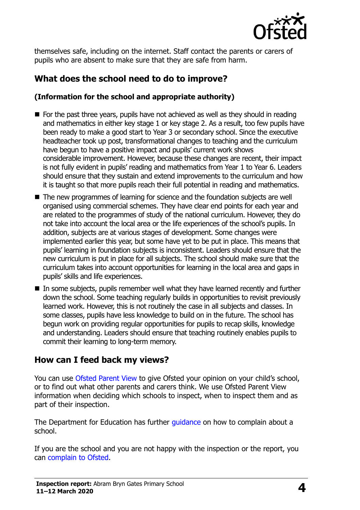

themselves safe, including on the internet. Staff contact the parents or carers of pupils who are absent to make sure that they are safe from harm.

# **What does the school need to do to improve?**

#### **(Information for the school and appropriate authority)**

- $\blacksquare$  For the past three years, pupils have not achieved as well as they should in reading and mathematics in either key stage 1 or key stage 2. As a result, too few pupils have been ready to make a good start to Year 3 or secondary school. Since the executive headteacher took up post, transformational changes to teaching and the curriculum have begun to have a positive impact and pupils' current work shows considerable improvement. However, because these changes are recent, their impact is not fully evident in pupils' reading and mathematics from Year 1 to Year 6. Leaders should ensure that they sustain and extend improvements to the curriculum and how it is taught so that more pupils reach their full potential in reading and mathematics.
- The new programmes of learning for science and the foundation subjects are well organised using commercial schemes. They have clear end points for each year and are related to the programmes of study of the national curriculum. However, they do not take into account the local area or the life experiences of the school's pupils. In addition, subjects are at various stages of development. Some changes were implemented earlier this year, but some have yet to be put in place. This means that pupils' learning in foundation subjects is inconsistent. Leaders should ensure that the new curriculum is put in place for all subjects. The school should make sure that the curriculum takes into account opportunities for learning in the local area and gaps in pupils' skills and life experiences.
- In some subjects, pupils remember well what they have learned recently and further down the school. Some teaching regularly builds in opportunities to revisit previously learned work. However, this is not routinely the case in all subjects and classes. In some classes, pupils have less knowledge to build on in the future. The school has begun work on providing regular opportunities for pupils to recap skills, knowledge and understanding. Leaders should ensure that teaching routinely enables pupils to commit their learning to long-term memory.

## **How can I feed back my views?**

You can use [Ofsted Parent View](http://parentview.ofsted.gov.uk/) to give Ofsted your opinion on your child's school, or to find out what other parents and carers think. We use Ofsted Parent View information when deciding which schools to inspect, when to inspect them and as part of their inspection.

The Department for Education has further quidance on how to complain about a school.

If you are the school and you are not happy with the inspection or the report, you can [complain to Ofsted.](http://www.gov.uk/complain-ofsted-report)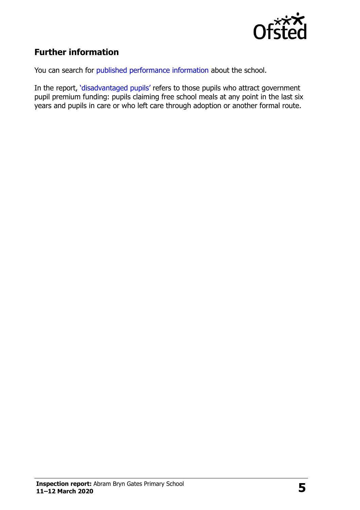

# **Further information**

You can search for [published performance information](http://www.compare-school-performance.service.gov.uk/) about the school.

In the report, '[disadvantaged pupils](http://www.gov.uk/guidance/pupil-premium-information-for-schools-and-alternative-provision-settings)' refers to those pupils who attract government pupil premium funding: pupils claiming free school meals at any point in the last six years and pupils in care or who left care through adoption or another formal route.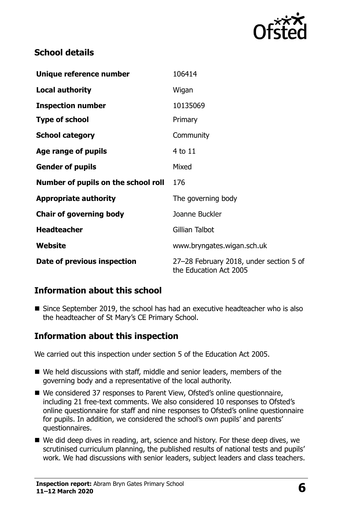

## **School details**

| Unique reference number             | 106414                                                            |
|-------------------------------------|-------------------------------------------------------------------|
| <b>Local authority</b>              | Wigan                                                             |
| <b>Inspection number</b>            | 10135069                                                          |
| <b>Type of school</b>               | Primary                                                           |
| <b>School category</b>              | Community                                                         |
| Age range of pupils                 | 4 to 11                                                           |
| <b>Gender of pupils</b>             | Mixed                                                             |
| Number of pupils on the school roll | 176                                                               |
| <b>Appropriate authority</b>        | The governing body                                                |
| <b>Chair of governing body</b>      | Joanne Buckler                                                    |
| <b>Headteacher</b>                  | Gillian Talbot                                                    |
| Website                             | www.bryngates.wigan.sch.uk                                        |
| Date of previous inspection         | 27-28 February 2018, under section 5 of<br>the Education Act 2005 |

## **Information about this school**

■ Since September 2019, the school has had an executive headteacher who is also the headteacher of St Mary's CE Primary School.

## **Information about this inspection**

We carried out this inspection under section 5 of the Education Act 2005.

- We held discussions with staff, middle and senior leaders, members of the governing body and a representative of the local authority.
- We considered 37 responses to Parent View, Ofsted's online questionnaire, including 21 free-text comments. We also considered 10 responses to Ofsted's online questionnaire for staff and nine responses to Ofsted's online questionnaire for pupils. In addition, we considered the school's own pupils' and parents' questionnaires.
- We did deep dives in reading, art, science and history. For these deep dives, we scrutinised curriculum planning, the published results of national tests and pupils' work. We had discussions with senior leaders, subject leaders and class teachers.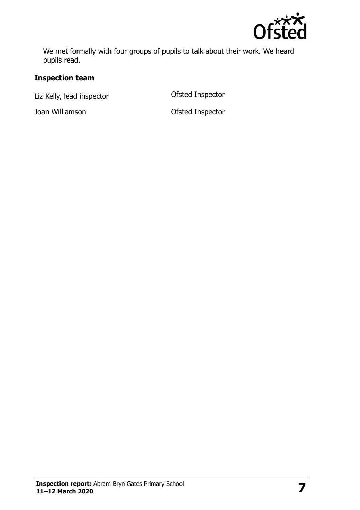

We met formally with four groups of pupils to talk about their work. We heard pupils read.

#### **Inspection team**

Liz Kelly, lead inspector and offsted Inspector

Joan Williamson Ofsted Inspector